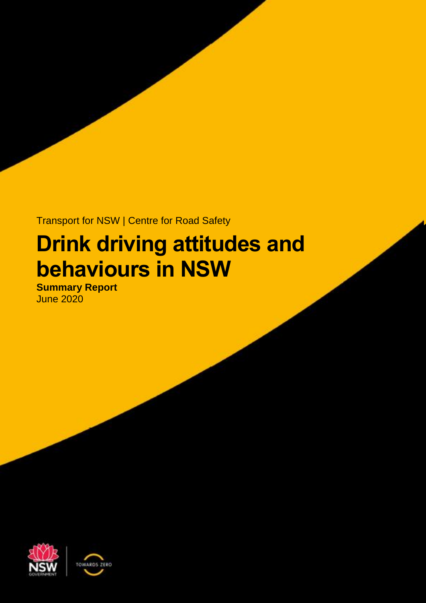Transport for NSW | Centre for Road Safety

# **Drink driving attitudes and behaviours in NSW**

**Summary Report**  June 2020



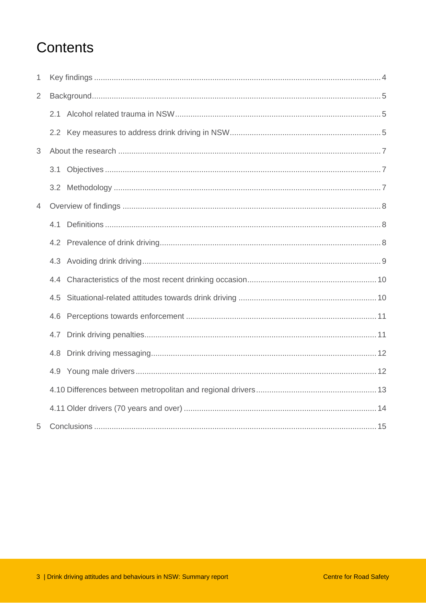## Contents

| 1              |     |  |  |  |
|----------------|-----|--|--|--|
| $\overline{2}$ |     |  |  |  |
|                | 2.1 |  |  |  |
|                |     |  |  |  |
| 3              |     |  |  |  |
|                |     |  |  |  |
|                |     |  |  |  |
| $\overline{4}$ |     |  |  |  |
|                | 4.1 |  |  |  |
|                |     |  |  |  |
|                |     |  |  |  |
|                | 4.4 |  |  |  |
|                | 4.5 |  |  |  |
|                | 4.6 |  |  |  |
|                | 4.7 |  |  |  |
|                | 4.8 |  |  |  |
|                | 4.9 |  |  |  |
|                |     |  |  |  |
|                |     |  |  |  |
| 5              |     |  |  |  |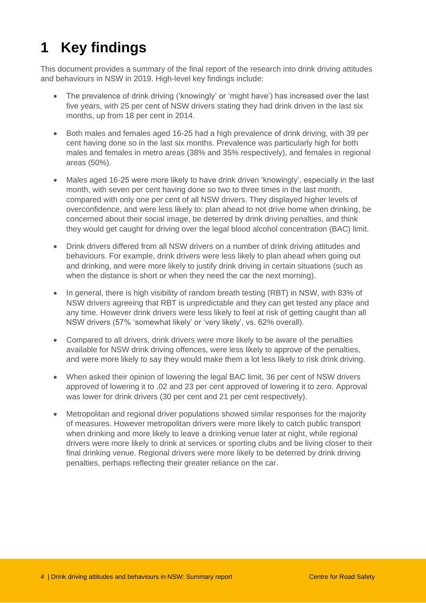## <span id="page-3-0"></span>**1 Key findings**

This document provides a summary of the final report of the research into drink driving attitudes and behaviours in NSW in 2019. High-level key findings include:

- The prevalence of drink driving ('knowingly' or 'might have') has increased over the last five years, with 25 per cent of NSW drivers stating they had drink driven in the last six months, up from 18 per cent in 2014.
- Both males and females aged 16-25 had a high prevalence of drink driving, with 39 per cent having done so in the last six months. Prevalence was particularly high for both males and females in metro areas (38% and 35% respectively), and females in regional areas (50%).
- Males aged 16-25 were more likely to have drink driven 'knowingly', especially in the last month, with seven per cent having done so two to three times in the last month, compared with only one per cent of all NSW drivers. They displayed higher levels of overconfidence, and were less likely to: plan ahead to not drive home when drinking, be concerned about their social image, be deterred by drink driving penalties, and think they would get caught for driving over the legal blood alcohol concentration (BAC) limit.
- Drink drivers differed from all NSW drivers on a number of drink driving attitudes and behaviours. For example, drink drivers were less likely to plan ahead when going out and drinking, and were more likely to justify drink driving in certain situations (such as when the distance is short or when they need the car the next morning).
- In general, there is high visibility of random breath testing (RBT) in NSW, with 83% of NSW drivers agreeing that RBT is unpredictable and they can get tested any place and any time. However drink drivers were less likely to feel at risk of getting caught than all NSW drivers (57% 'somewhat likely' or 'very likely', vs. 62% overall).
- Compared to all drivers, drink drivers were more likely to be aware of the penalties available for NSW drink driving offences, were less likely to approve of the penalties, and were more likely to say they would make them a lot less likely to risk drink driving.
- When asked their opinion of lowering the legal BAC limit, 36 per cent of NSW drivers approved of lowering it to .02 and 23 per cent approved of lowering it to zero. Approval was lower for drink drivers (30 per cent and 21 per cent respectively).
- Metropolitan and regional driver populations showed similar responses for the majority of measures. However metropolitan drivers were more likely to catch public transport when drinking and more likely to leave a drinking venue later at night, while regional drivers were more likely to drink at services or sporting clubs and be living closer to their final drinking venue. Regional drivers were more likely to be deterred by drink driving penalties, perhaps reflecting their greater reliance on the car.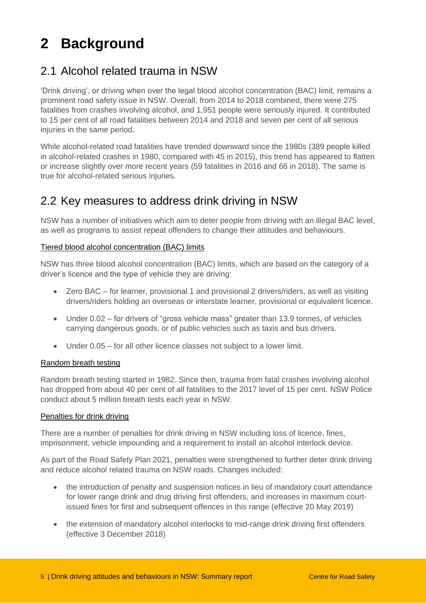## <span id="page-4-0"></span>**2 Background**

## <span id="page-4-1"></span>2.1 Alcohol related trauma in NSW

'Drink driving', or driving when over the legal blood alcohol concentration (BAC) limit, remains a prominent road safety issue in NSW. Overall, from 2014 to 2018 combined, there were 275 fatalities from crashes involving alcohol, and 1,951 people were seriously injured. It contributed to 15 per cent of all road fatalities between 2014 and 2018 and seven per cent of all serious injuries in the same period.

While alcohol-related road fatalities have trended downward since the 1980s (389 people killed in alcohol-related crashes in 1980, compared with 45 in 2015), this trend has appeared to flatten or increase slightly over more recent years (59 fatalities in 2016 and 66 in 2018). The same is true for alcohol-related serious injuries.

### <span id="page-4-2"></span>2.2 Key measures to address drink driving in NSW

NSW has a number of initiatives which aim to deter people from driving with an illegal BAC level, as well as programs to assist repeat offenders to change their attitudes and behaviours.

#### Tiered blood alcohol concentration (BAC) limits

NSW has three blood alcohol concentration (BAC) limits, which are based on the category of a driver's licence and the type of vehicle they are driving:

- Zero BAC for learner, provisional 1 and provisional 2 drivers/riders, as well as visiting drivers/riders holding an overseas or interstate learner, provisional or equivalent licence.
- Under 0.02 for drivers of "gross vehicle mass" greater than 13.9 tonnes, of vehicles carrying dangerous goods, or of public vehicles such as taxis and bus drivers.
- Under 0.05 for all other licence classes not subject to a lower limit.

#### Random breath testing

Random breath testing started in 1982. Since then, trauma from fatal crashes involving alcohol has dropped from about 40 per cent of all fatalities to the 2017 level of 15 per cent. NSW Police conduct about 5 million breath tests each year in NSW.

#### Penalties for drink driving

There are a number of penalties for drink driving in NSW including loss of licence, fines, imprisonment, vehicle impounding and a requirement to install an alcohol interlock device.

As part of the Road Safety Plan 2021, penalties were strengthened to further deter drink driving and reduce alcohol related trauma on NSW roads. Changes included:

- the introduction of penalty and suspension notices in lieu of mandatory court attendance for lower range drink and drug driving first offenders, and increases in maximum courtissued fines for first and subsequent offences in this range (effective 20 May 2019)
- the extension of mandatory alcohol interlocks to mid-range drink driving first offenders (effective 3 December 2018)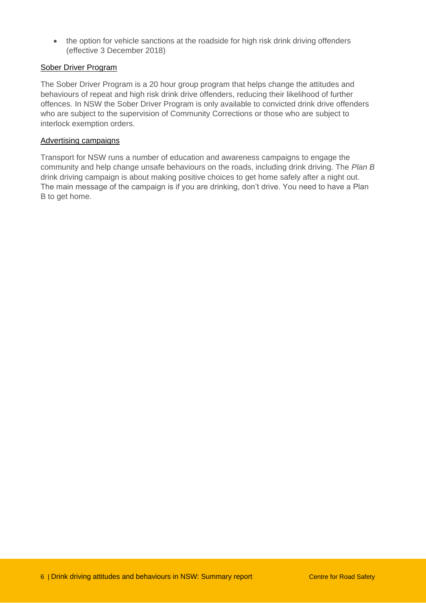• the option for vehicle sanctions at the roadside for high risk drink driving offenders (effective 3 December 2018)

#### Sober Driver Program

The Sober Driver Program is a 20 hour group program that helps change the attitudes and behaviours of repeat and high risk drink drive offenders, reducing their likelihood of further offences. In NSW the Sober Driver Program is only available to convicted drink drive offenders who are subject to the supervision of Community Corrections or those who are subject to interlock exemption orders.

#### Advertising campaigns

Transport for NSW runs a number of education and awareness campaigns to engage the community and help change unsafe behaviours on the roads, including drink driving. The *Plan B* drink driving campaign is about making positive choices to get home safely after a night out. The main message of the campaign is if you are drinking, don't drive. You need to have a Plan B to get home.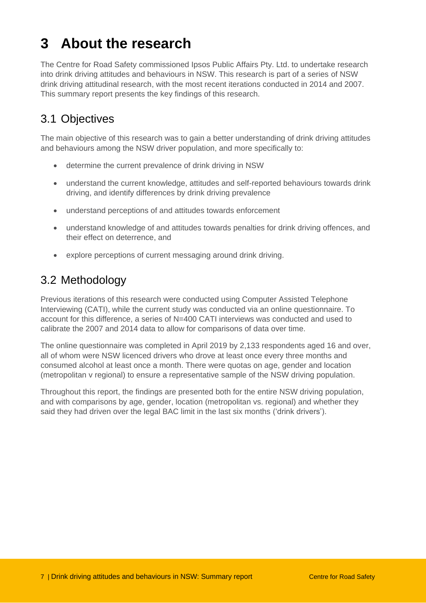## <span id="page-6-0"></span>**3 About the research**

The Centre for Road Safety commissioned Ipsos Public Affairs Pty. Ltd. to undertake research into drink driving attitudes and behaviours in NSW. This research is part of a series of NSW drink driving attitudinal research, with the most recent iterations conducted in 2014 and 2007. This summary report presents the key findings of this research.

## <span id="page-6-1"></span>3.1 Objectives

The main objective of this research was to gain a better understanding of drink driving attitudes and behaviours among the NSW driver population, and more specifically to:

- determine the current prevalence of drink driving in NSW
- understand the current knowledge, attitudes and self-reported behaviours towards drink driving, and identify differences by drink driving prevalence
- understand perceptions of and attitudes towards enforcement
- understand knowledge of and attitudes towards penalties for drink driving offences, and their effect on deterrence, and
- explore perceptions of current messaging around drink driving.

## <span id="page-6-2"></span>3.2 Methodology

Previous iterations of this research were conducted using Computer Assisted Telephone Interviewing (CATI), while the current study was conducted via an online questionnaire. To account for this difference, a series of N=400 CATI interviews was conducted and used to calibrate the 2007 and 2014 data to allow for comparisons of data over time.

The online questionnaire was completed in April 2019 by 2,133 respondents aged 16 and over, all of whom were NSW licenced drivers who drove at least once every three months and consumed alcohol at least once a month. There were quotas on age, gender and location (metropolitan v regional) to ensure a representative sample of the NSW driving population.

Throughout this report, the findings are presented both for the entire NSW driving population, and with comparisons by age, gender, location (metropolitan vs. regional) and whether they said they had driven over the legal BAC limit in the last six months ('drink drivers').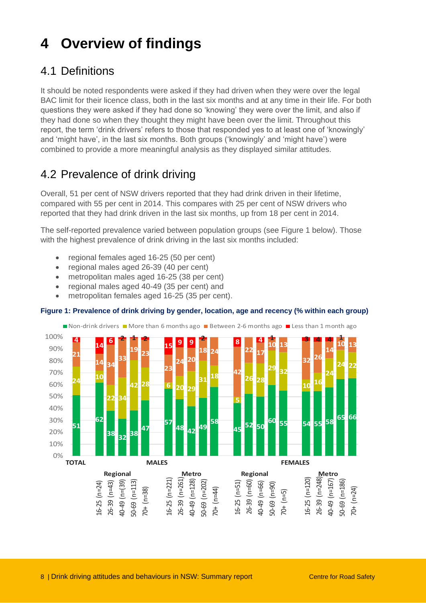## <span id="page-7-0"></span>**4 Overview of findings**

## <span id="page-7-1"></span>4.1 Definitions

It should be noted respondents were asked if they had driven when they were over the legal BAC limit for their licence class, both in the last six months and at any time in their life. For both questions they were asked if they had done so 'knowing' they were over the limit, and also if they had done so when they thought they might have been over the limit. Throughout this report, the term 'drink drivers' refers to those that responded yes to at least one of 'knowingly' and 'might have', in the last six months. Both groups ('knowingly' and 'might have') were combined to provide a more meaningful analysis as they displayed similar attitudes.

## <span id="page-7-2"></span>4.2 Prevalence of drink driving

Overall, 51 per cent of NSW drivers reported that they had drink driven in their lifetime, compared with 55 per cent in 2014. This compares with 25 per cent of NSW drivers who reported that they had drink driven in the last six months, up from 18 per cent in 2014.

The self-reported prevalence varied between population groups (see Figure 1 below). Those with the highest prevalence of drink driving in the last six months included:

- regional females aged 16-25 (50 per cent)
- regional males aged 26-39 (40 per cent)
- metropolitan males aged 16-25 (38 per cent)
- regional males aged 40-49 (35 per cent) and
- metropolitan females aged 16-25 (35 per cent).

#### **Figure 1: Prevalence of drink driving by gender, location, age and recency (% within each group)**

**51 62 <sup>38</sup> <sup>32</sup> <sup>38</sup> 47 57 <sup>48</sup> <sup>42</sup> <sup>49</sup> 58 <sup>45</sup> <sup>52</sup> <sup>50</sup> <sup>60</sup> <sup>55</sup> <sup>54</sup> <sup>55</sup> <sup>58</sup> <sup>65</sup> <sup>66</sup> <sup>24</sup> <sup>10</sup> 22 34 <sup>42</sup> <sup>28</sup> <sup>6</sup> <sup>20</sup> <sup>29</sup> 31 18 5 26 28 <sup>29</sup> <sup>32</sup> <sup>10</sup> <sup>16</sup> 24 24 22 21 14 34 33 <sup>19</sup> <sup>23</sup> 23 24 20 18 24 42 22 17 10 13 32 26 14 10 13 4 <sup>14</sup> <sup>6</sup> 2 1 2 <sup>15</sup> <sup>9</sup> <sup>9</sup> 2 8 4 1 3 4 4 1** 0% 10% 20% 30% 40% 50% 60% 70% 80% 90% 100% Non-drink drivers More than 6 months ago MB etween 2-6 months ago MI Less than 1 month ago **TOTAL Regional**<br>
40-49 (n=43)<br>
40-49 (n=13)<br>
50-69 (n=261)<br>
70+ (n=38)<br>
40-49 (n=261)<br>
40-49 (n=202)<br>
70+ (n=50)<br>
70+ (n=50)<br>
40-49 (n=50)<br>
50-69 (n=50)<br>
70+ (n=50)<br>
50-69 (n=50)<br>
70+ (n=50)<br>
70+ (n=50)<br>
70+ (n=50)<br>
70+ (n=50)<br> **MALES FEMALES** 16-25 (n=24)<br>
26-39 (n=43)<br>
26-39 (n=13)<br>
40-49 (n=13)<br>
50-69 (n=113)<br>
16-25 (n=201)<br>
26-39 (n=202)<br>
26-39 (n=202)<br>
30-69 (n=60)<br>
30-69 (n=50)<br>
30-69 (n=50)<br>
26-39 (n=200)<br>
30-69 (n=50)<br>
26-39 (n=200)<br>
26-39 (n=200)<br>
26-3 70+ (n=24)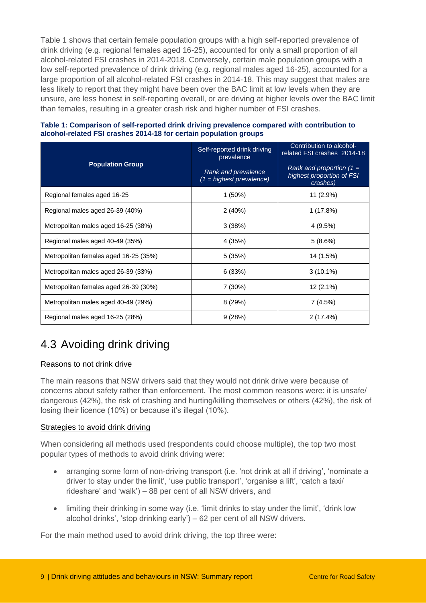Table 1 shows that certain female population groups with a high self-reported prevalence of drink driving (e.g. regional females aged 16-25), accounted for only a small proportion of all alcohol-related FSI crashes in 2014-2018. Conversely, certain male population groups with a low self-reported prevalence of drink driving (e.g. regional males aged 16-25), accounted for a large proportion of all alcohol-related FSI crashes in 2014-18. This may suggest that males are less likely to report that they might have been over the BAC limit at low levels when they are unsure, are less honest in self-reporting overall, or are driving at higher levels over the BAC limit than females, resulting in a greater crash risk and higher number of FSI crashes.

|                                       | Self-reported drink driving<br>prevalence         | Contribution to alcohol-<br>related FSI crashes 2014-18             |  |
|---------------------------------------|---------------------------------------------------|---------------------------------------------------------------------|--|
| <b>Population Group</b>               | Rank and prevalence<br>$(1 =$ highest prevalence) | Rank and proportion $(1 =$<br>highest proportion of FSI<br>crashes) |  |
| Regional females aged 16-25           | $1(50\%)$                                         | 11 (2.9%)                                                           |  |
| Regional males aged 26-39 (40%)       | 2(40%)                                            | 1 (17.8%)                                                           |  |
| Metropolitan males aged 16-25 (38%)   | 3(38%)                                            | 4(9.5%)                                                             |  |
| Regional males aged 40-49 (35%)       | 4 (35%)                                           | 5(8.6%)                                                             |  |
| Metropolitan females aged 16-25 (35%) | 5(35%)                                            | 14 (1.5%)                                                           |  |
| Metropolitan males aged 26-39 (33%)   | 6(33%)                                            | $3(10.1\%)$                                                         |  |
| Metropolitan females aged 26-39 (30%) | 7(30%)                                            | 12 (2.1%)                                                           |  |
| Metropolitan males aged 40-49 (29%)   | 8(29%)                                            | 7 (4.5%)                                                            |  |
| Regional males aged 16-25 (28%)       | 9(28%)                                            | 2(17.4%)                                                            |  |

#### **Table 1: Comparison of self-reported drink driving prevalence compared with contribution to alcohol-related FSI crashes 2014-18 for certain population groups**

## <span id="page-8-0"></span>4.3 Avoiding drink driving

#### Reasons to not drink drive

The main reasons that NSW drivers said that they would not drink drive were because of concerns about safety rather than enforcement. The most common reasons were: it is unsafe/ dangerous (42%), the risk of crashing and hurting/killing themselves or others (42%), the risk of losing their licence (10%) or because it's illegal (10%).

#### Strategies to avoid drink driving

When considering all methods used (respondents could choose multiple), the top two most popular types of methods to avoid drink driving were:

- arranging some form of non-driving transport (i.e. 'not drink at all if driving', 'nominate a driver to stay under the limit', 'use public transport', 'organise a lift', 'catch a taxi/ rideshare' and 'walk') – 88 per cent of all NSW drivers, and
- limiting their drinking in some way (i.e. 'limit drinks to stay under the limit', 'drink low alcohol drinks', 'stop drinking early') – 62 per cent of all NSW drivers.

For the main method used to avoid drink driving, the top three were: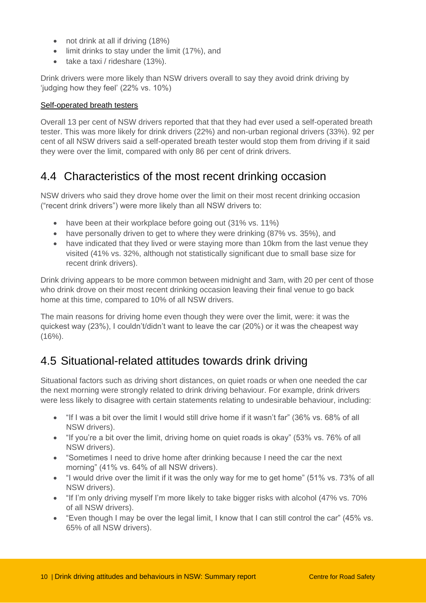- not drink at all if driving (18%)
- limit drinks to stay under the limit (17%), and
- $\bullet$  take a taxi / rideshare (13%).

Drink drivers were more likely than NSW drivers overall to say they avoid drink driving by 'judging how they feel' (22% vs. 10%)

#### Self-operated breath testers

Overall 13 per cent of NSW drivers reported that that they had ever used a self-operated breath tester. This was more likely for drink drivers (22%) and non-urban regional drivers (33%). 92 per cent of all NSW drivers said a self-operated breath tester would stop them from driving if it said they were over the limit, compared with only 86 per cent of drink drivers.

### <span id="page-9-0"></span>4.4 Characteristics of the most recent drinking occasion

NSW drivers who said they drove home over the limit on their most recent drinking occasion ("recent drink drivers") were more likely than all NSW drivers to:

- have been at their workplace before going out (31% vs. 11%)
- have personally driven to get to where they were drinking (87% vs. 35%), and
- have indicated that they lived or were staying more than 10km from the last venue they visited (41% vs. 32%, although not statistically significant due to small base size for recent drink drivers).

Drink driving appears to be more common between midnight and 3am, with 20 per cent of those who drink drove on their most recent drinking occasion leaving their final venue to go back home at this time, compared to 10% of all NSW drivers.

The main reasons for driving home even though they were over the limit, were: it was the quickest way (23%), I couldn't/didn't want to leave the car (20%) or it was the cheapest way  $(16\%)$ .

### <span id="page-9-1"></span>4.5 Situational-related attitudes towards drink driving

Situational factors such as driving short distances, on quiet roads or when one needed the car the next morning were strongly related to drink driving behaviour. For example, drink drivers were less likely to disagree with certain statements relating to undesirable behaviour, including:

- "If I was a bit over the limit I would still drive home if it wasn't far" (36% vs. 68% of all NSW drivers).
- "If you're a bit over the limit, driving home on quiet roads is okay" (53% vs. 76% of all NSW drivers).
- "Sometimes I need to drive home after drinking because I need the car the next morning" (41% vs. 64% of all NSW drivers).
- "I would drive over the limit if it was the only way for me to get home" (51% vs. 73% of all NSW drivers).
- "If I'm only driving myself I'm more likely to take bigger risks with alcohol (47% vs. 70% of all NSW drivers).
- $\bullet$  "Even though I may be over the legal limit, I know that I can still control the car" (45% vs. 65% of all NSW drivers).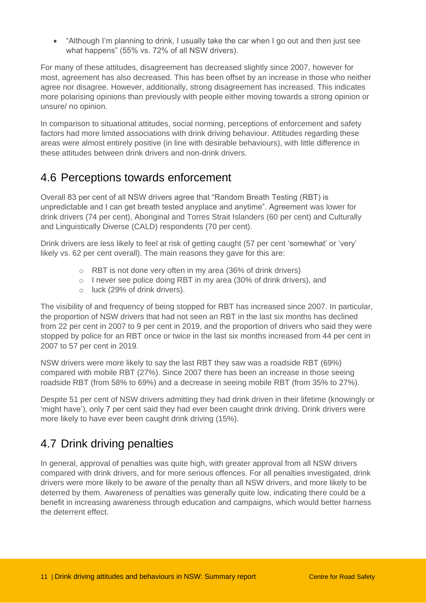"Although I'm planning to drink, I usually take the car when I go out and then just see what happens" (55% vs. 72% of all NSW drivers).

For many of these attitudes, disagreement has decreased slightly since 2007, however for most, agreement has also decreased. This has been offset by an increase in those who neither agree nor disagree. However, additionally, strong disagreement has increased. This indicates more polarising opinions than previously with people either moving towards a strong opinion or unsure/ no opinion.

In comparison to situational attitudes, social norming, perceptions of enforcement and safety factors had more limited associations with drink driving behaviour. Attitudes regarding these areas were almost entirely positive (in line with desirable behaviours), with little difference in these attitudes between drink drivers and non-drink drivers.

### <span id="page-10-0"></span>4.6 Perceptions towards enforcement

Overall 83 per cent of all NSW drivers agree that "Random Breath Testing (RBT) is unpredictable and I can get breath tested anyplace and anytime". Agreement was lower for drink drivers (74 per cent), Aboriginal and Torres Strait Islanders (60 per cent) and Culturally and Linguistically Diverse (CALD) respondents (70 per cent).

Drink drivers are less likely to feel at risk of getting caught (57 per cent 'somewhat' or 'very' likely vs. 62 per cent overall). The main reasons they gave for this are:

- o RBT is not done very often in my area (36% of drink drivers)
- o I never see police doing RBT in my area (30% of drink drivers), and
- o luck (29% of drink drivers).

The visibility of and frequency of being stopped for RBT has increased since 2007. In particular, the proportion of NSW drivers that had not seen an RBT in the last six months has declined from 22 per cent in 2007 to 9 per cent in 2019, and the proportion of drivers who said they were stopped by police for an RBT once or twice in the last six months increased from 44 per cent in 2007 to 57 per cent in 2019.

NSW drivers were more likely to say the last RBT they saw was a roadside RBT (69%) compared with mobile RBT (27%). Since 2007 there has been an increase in those seeing roadside RBT (from 58% to 69%) and a decrease in seeing mobile RBT (from 35% to 27%).

Despite 51 per cent of NSW drivers admitting they had drink driven in their lifetime (knowingly or 'might have'), only 7 per cent said they had ever been caught drink driving. Drink drivers were more likely to have ever been caught drink driving (15%).

## <span id="page-10-1"></span>4.7 Drink driving penalties

In general, approval of penalties was quite high, with greater approval from all NSW drivers compared with drink drivers, and for more serious offences. For all penalties investigated, drink drivers were more likely to be aware of the penalty than all NSW drivers, and more likely to be deterred by them. Awareness of penalties was generally quite low, indicating there could be a benefit in increasing awareness through education and campaigns, which would better harness the deterrent effect.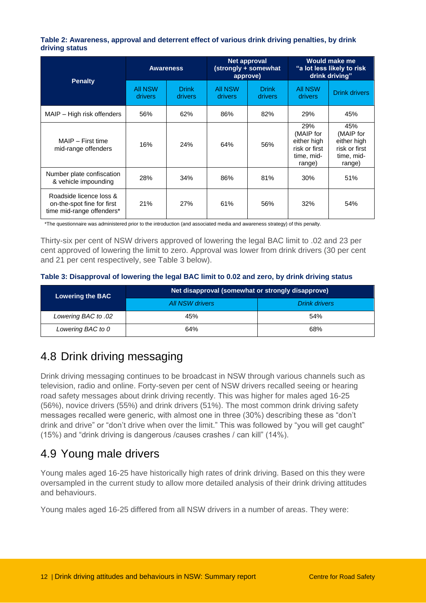#### **Table 2: Awareness, approval and deterrent effect of various drink driving penalties, by drink driving status**

| <b>Penalty</b>                                                                     | <b>Awareness</b>                 |                                | Net approval<br>(strongly + somewhat<br>approve) |                                | <b>Would make me</b><br>"a lot less likely to risk<br>drink driving"     |                                                                          |
|------------------------------------------------------------------------------------|----------------------------------|--------------------------------|--------------------------------------------------|--------------------------------|--------------------------------------------------------------------------|--------------------------------------------------------------------------|
|                                                                                    | <b>All NSW</b><br><b>drivers</b> | <b>Drink</b><br><b>drivers</b> | All NSW<br>drivers                               | <b>Drink</b><br><b>drivers</b> | <b>All NSW</b><br>drivers                                                | <b>Drink drivers</b>                                                     |
| MAIP – High risk offenders                                                         | 56%                              | 62%                            | 86%                                              | 82%                            | 29%                                                                      | 45%                                                                      |
| MAIP - First time<br>mid-range offenders                                           | 16%                              | 24%                            | 64%                                              | 56%                            | 29%<br>(MAIP for<br>either high<br>risk or first<br>time, mid-<br>range) | 45%<br>(MAIP for<br>either high<br>risk or first<br>time, mid-<br>range) |
| Number plate confiscation<br>& vehicle impounding                                  | 28%                              | 34%                            | 86%                                              | 81%                            | 30%                                                                      | 51%                                                                      |
| Roadside licence loss &<br>on-the-spot fine for first<br>time mid-range offenders* | 21%                              | 27%                            | 61%                                              | 56%                            | 32%                                                                      | 54%                                                                      |

\*The questionnaire was administered prior to the introduction (and associated media and awareness strategy) of this penalty.

Thirty-six per cent of NSW drivers approved of lowering the legal BAC limit to .02 and 23 per cent approved of lowering the limit to zero. Approval was lower from drink drivers (30 per cent and 21 per cent respectively, see Table 3 below).

#### **Table 3: Disapproval of lowering the legal BAC limit to 0.02 and zero, by drink driving status**

| <b>Lowering the BAC</b> | Net disapproval (somewhat or strongly disapprove) |               |  |  |
|-------------------------|---------------------------------------------------|---------------|--|--|
|                         | <b>All NSW drivers</b>                            | Drink drivers |  |  |
| Lowering BAC to .02     | 45%                                               | 54%           |  |  |
| Lowering BAC to 0       | 64%                                               | 68%           |  |  |

## <span id="page-11-0"></span>4.8 Drink driving messaging

Drink driving messaging continues to be broadcast in NSW through various channels such as television, radio and online. Forty-seven per cent of NSW drivers recalled seeing or hearing road safety messages about drink driving recently. This was higher for males aged 16-25 (56%), novice drivers (55%) and drink drivers (51%). The most common drink driving safety messages recalled were generic, with almost one in three (30%) describing these as "don't drink and drive" or "don't drive when over the limit." This was followed by "you will get caught" (15%) and "drink driving is dangerous /causes crashes / can kill" (14%).

### <span id="page-11-1"></span>4.9 Young male drivers

Young males aged 16-25 have historically high rates of drink driving. Based on this they were oversampled in the current study to allow more detailed analysis of their drink driving attitudes and behaviours.

Young males aged 16-25 differed from all NSW drivers in a number of areas. They were: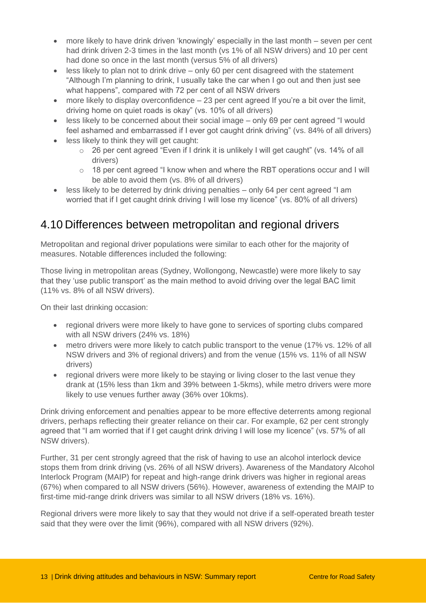- more likely to have drink driven 'knowingly' especially in the last month seven per cent had drink driven 2-3 times in the last month (vs 1% of all NSW drivers) and 10 per cent had done so once in the last month (versus 5% of all drivers)
- less likely to plan not to drink drive only 60 per cent disagreed with the statement "Although I'm planning to drink, I usually take the car when I go out and then just see what happens", compared with 72 per cent of all NSW drivers
- more likely to display overconfidence  $-23$  per cent agreed If you're a bit over the limit, driving home on quiet roads is okay" (vs. 10% of all drivers)
- less likely to be concerned about their social image only 69 per cent agreed "I would feel ashamed and embarrassed if I ever got caught drink driving" (vs. 84% of all drivers)
- less likely to think they will get caught:
	- o 26 per cent agreed "Even if I drink it is unlikely I will get caught" (vs. 14% of all drivers)
	- $\circ$  18 per cent agreed "I know when and where the RBT operations occur and I will be able to avoid them (vs. 8% of all drivers)
- less likely to be deterred by drink driving penalties only 64 per cent agreed "I am worried that if I get caught drink driving I will lose my licence" (vs. 80% of all drivers)

### <span id="page-12-0"></span>4.10 Differences between metropolitan and regional drivers

Metropolitan and regional driver populations were similar to each other for the majority of measures. Notable differences included the following:

Those living in metropolitan areas (Sydney, Wollongong, Newcastle) were more likely to say that they 'use public transport' as the main method to avoid driving over the legal BAC limit (11% vs. 8% of all NSW drivers).

On their last drinking occasion:

- regional drivers were more likely to have gone to services of sporting clubs compared with all NSW drivers (24% vs. 18%)
- metro drivers were more likely to catch public transport to the venue (17% vs. 12% of all NSW drivers and 3% of regional drivers) and from the venue (15% vs. 11% of all NSW drivers)
- regional drivers were more likely to be staying or living closer to the last venue they drank at (15% less than 1km and 39% between 1-5kms), while metro drivers were more likely to use venues further away (36% over 10kms).

Drink driving enforcement and penalties appear to be more effective deterrents among regional drivers, perhaps reflecting their greater reliance on their car. For example, 62 per cent strongly agreed that "I am worried that if I get caught drink driving I will lose my licence" (vs. 57% of all NSW drivers).

Further, 31 per cent strongly agreed that the risk of having to use an alcohol interlock device stops them from drink driving (vs. 26% of all NSW drivers). Awareness of the Mandatory Alcohol Interlock Program (MAIP) for repeat and high-range drink drivers was higher in regional areas (67%) when compared to all NSW drivers (56%). However, awareness of extending the MAIP to first-time mid-range drink drivers was similar to all NSW drivers (18% vs. 16%).

Regional drivers were more likely to say that they would not drive if a self-operated breath tester said that they were over the limit (96%), compared with all NSW drivers (92%).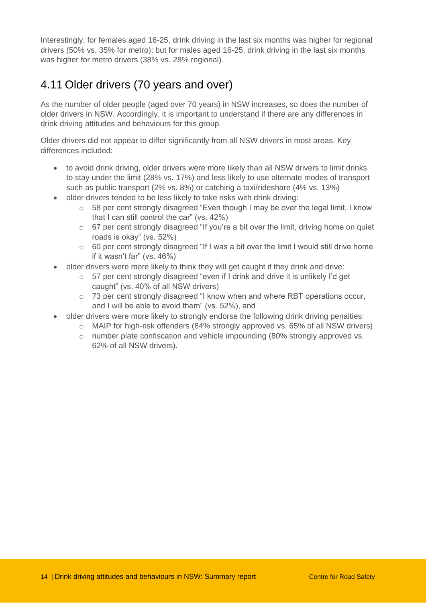Interestingly, for females aged 16-25, drink driving in the last six months was higher for regional drivers (50% vs. 35% for metro); but for males aged 16-25, drink driving in the last six months was higher for metro drivers (38% vs. 28% regional).

## <span id="page-13-0"></span>4.11 Older drivers (70 years and over)

As the number of older people (aged over 70 years) in NSW increases, so does the number of older drivers in NSW. Accordingly, it is important to understand if there are any differences in drink driving attitudes and behaviours for this group.

Older drivers did not appear to differ significantly from all NSW drivers in most areas. Key differences included:

- to avoid drink driving, older drivers were more likely than all NSW drivers to limit drinks to stay under the limit (28% vs. 17%) and less likely to use alternate modes of transport such as public transport (2% vs. 8%) or catching a taxi/rideshare (4% vs. 13%)
- older drivers tended to be less likely to take risks with drink driving:
	- o 58 per cent strongly disagreed "Even though I may be over the legal limit, I know that I can still control the car" (vs. 42%)
	- $\circ$  67 per cent strongly disagreed "If you're a bit over the limit, driving home on quiet roads is okay" (vs. 52%)
	- $\circ$  60 per cent strongly disagreed "If I was a bit over the limit I would still drive home if it wasn't far" (vs. 46%)
- older drivers were more likely to think they will get caught if they drink and drive:
	- o 57 per cent strongly disagreed "even if I drink and drive it is unlikely I'd get caught" (vs. 40% of all NSW drivers)
	- $\circ$  73 per cent strongly disagreed "I know when and where RBT operations occur, and I will be able to avoid them" (vs. 52%), and
- older drivers were more likely to strongly endorse the following drink driving penalties:
	- $\circ$  MAIP for high-risk offenders (84% strongly approved vs. 65% of all NSW drivers)
	- o number plate confiscation and vehicle impounding (80% strongly approved vs. 62% of all NSW drivers).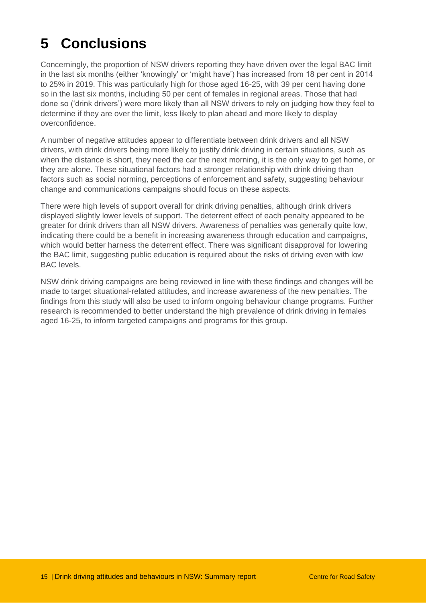## <span id="page-14-0"></span>**5 Conclusions**

Concerningly, the proportion of NSW drivers reporting they have driven over the legal BAC limit in the last six months (either 'knowingly' or 'might have') has increased from 18 per cent in 2014 to 25% in 2019. This was particularly high for those aged 16-25, with 39 per cent having done so in the last six months, including 50 per cent of females in regional areas. Those that had done so ('drink drivers') were more likely than all NSW drivers to rely on judging how they feel to determine if they are over the limit, less likely to plan ahead and more likely to display overconfidence.

A number of negative attitudes appear to differentiate between drink drivers and all NSW drivers, with drink drivers being more likely to justify drink driving in certain situations, such as when the distance is short, they need the car the next morning, it is the only way to get home, or they are alone. These situational factors had a stronger relationship with drink driving than factors such as social norming, perceptions of enforcement and safety, suggesting behaviour change and communications campaigns should focus on these aspects.

There were high levels of support overall for drink driving penalties, although drink drivers displayed slightly lower levels of support. The deterrent effect of each penalty appeared to be greater for drink drivers than all NSW drivers. Awareness of penalties was generally quite low, indicating there could be a benefit in increasing awareness through education and campaigns, which would better harness the deterrent effect. There was significant disapproval for lowering the BAC limit, suggesting public education is required about the risks of driving even with low BAC levels.

NSW drink driving campaigns are being reviewed in line with these findings and changes will be made to target situational-related attitudes, and increase awareness of the new penalties. The findings from this study will also be used to inform ongoing behaviour change programs. Further research is recommended to better understand the high prevalence of drink driving in females aged 16-25, to inform targeted campaigns and programs for this group.